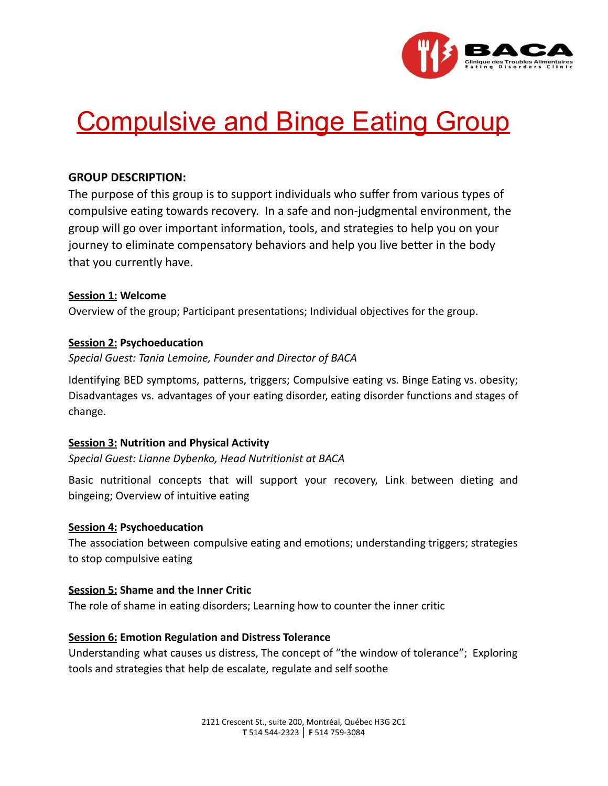

# **Compulsive and Binge Eating Group**

# **GROUP DESCRIPTION:**

The purpose of this group is to support individuals who suffer from various types of compulsive eating towards recovery. In a safe and non-judgmental environment, the group will go over important information, tools, and strategies to help you on your journey to eliminate compensatory behaviors and help you live better in the body that you currently have.

# **Session 1: Welcome**

Overview of the group; Participant presentations; Individual objectives for the group.

# **Session 2: Psychoeducation**

*Special Guest: Tania Lemoine, Founder and Director of BACA*

Identifying BED symptoms, patterns, triggers; Compulsive eating vs. Binge Eating vs. obesity; Disadvantages vs. advantages of your eating disorder, eating disorder functions and stages of change.

# **Session 3: Nutrition and Physical Activity**

*Special Guest: Lianne Dybenko, Head Nutritionist at BACA*

Basic nutritional concepts that will support your recovery, Link between dieting and bingeing; Overview of intuitive eating

#### **Session 4: Psychoeducation**

The association between compulsive eating and emotions; understanding triggers; strategies to stop compulsive eating

# **Session 5: Shame and the Inner Critic**

The role of shame in eating disorders; Learning how to counter the inner critic

# **Session 6: Emotion Regulation and Distress Tolerance**

Understanding what causes us distress, The concept of "the window of tolerance"; Exploring tools and strategies that help de escalate, regulate and self soothe